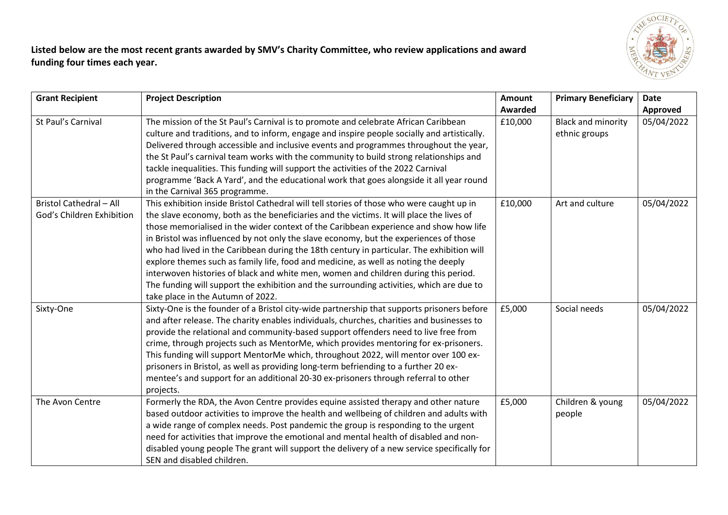

**Listed below are the most recent grants awarded by SMV's Charity Committee, who review applications and award funding four times each year.**

| <b>Grant Recipient</b>                                      | <b>Project Description</b>                                                                                                                                                                                                                                                                                                                                                                                                                                                                                                                                                                                                                                                                                                                                                          | <b>Amount</b><br><b>Awarded</b> | <b>Primary Beneficiary</b>                 | Date<br>Approved |
|-------------------------------------------------------------|-------------------------------------------------------------------------------------------------------------------------------------------------------------------------------------------------------------------------------------------------------------------------------------------------------------------------------------------------------------------------------------------------------------------------------------------------------------------------------------------------------------------------------------------------------------------------------------------------------------------------------------------------------------------------------------------------------------------------------------------------------------------------------------|---------------------------------|--------------------------------------------|------------------|
| St Paul's Carnival                                          | The mission of the St Paul's Carnival is to promote and celebrate African Caribbean<br>culture and traditions, and to inform, engage and inspire people socially and artistically.<br>Delivered through accessible and inclusive events and programmes throughout the year,<br>the St Paul's carnival team works with the community to build strong relationships and<br>tackle inequalities. This funding will support the activities of the 2022 Carnival<br>programme 'Back A Yard', and the educational work that goes alongside it all year round<br>in the Carnival 365 programme.                                                                                                                                                                                            | £10,000                         | <b>Black and minority</b><br>ethnic groups | 05/04/2022       |
| <b>Bristol Cathedral - All</b><br>God's Children Exhibition | This exhibition inside Bristol Cathedral will tell stories of those who were caught up in<br>the slave economy, both as the beneficiaries and the victims. It will place the lives of<br>those memorialised in the wider context of the Caribbean experience and show how life<br>in Bristol was influenced by not only the slave economy, but the experiences of those<br>who had lived in the Caribbean during the 18th century in particular. The exhibition will<br>explore themes such as family life, food and medicine, as well as noting the deeply<br>interwoven histories of black and white men, women and children during this period.<br>The funding will support the exhibition and the surrounding activities, which are due to<br>take place in the Autumn of 2022. | £10,000                         | Art and culture                            | 05/04/2022       |
| Sixty-One                                                   | Sixty-One is the founder of a Bristol city-wide partnership that supports prisoners before<br>and after release. The charity enables individuals, churches, charities and businesses to<br>provide the relational and community-based support offenders need to live free from<br>crime, through projects such as MentorMe, which provides mentoring for ex-prisoners.<br>This funding will support MentorMe which, throughout 2022, will mentor over 100 ex-<br>prisoners in Bristol, as well as providing long-term befriending to a further 20 ex-<br>mentee's and support for an additional 20-30 ex-prisoners through referral to other<br>projects.                                                                                                                           | £5,000                          | Social needs                               | 05/04/2022       |
| The Avon Centre                                             | Formerly the RDA, the Avon Centre provides equine assisted therapy and other nature<br>based outdoor activities to improve the health and wellbeing of children and adults with<br>a wide range of complex needs. Post pandemic the group is responding to the urgent<br>need for activities that improve the emotional and mental health of disabled and non-<br>disabled young people The grant will support the delivery of a new service specifically for<br>SEN and disabled children.                                                                                                                                                                                                                                                                                         | £5,000                          | Children & young<br>people                 | 05/04/2022       |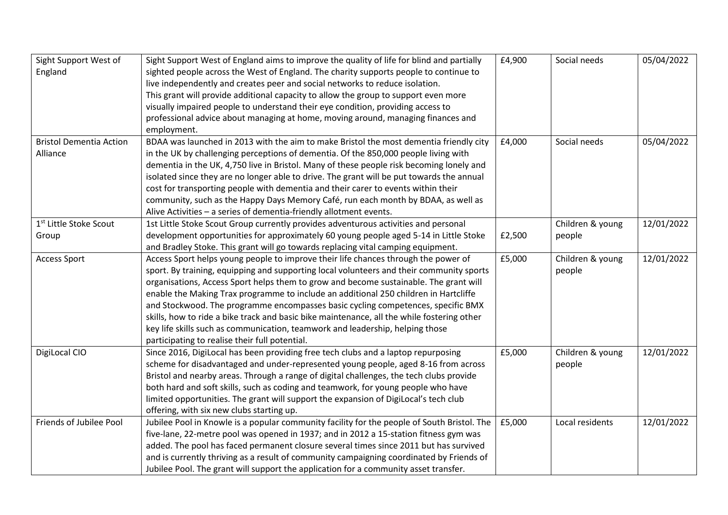| Sight Support West of              | Sight Support West of England aims to improve the quality of life for blind and partially   | £4,900 | Social needs     | 05/04/2022 |
|------------------------------------|---------------------------------------------------------------------------------------------|--------|------------------|------------|
| England                            | sighted people across the West of England. The charity supports people to continue to       |        |                  |            |
|                                    | live independently and creates peer and social networks to reduce isolation.                |        |                  |            |
|                                    | This grant will provide additional capacity to allow the group to support even more         |        |                  |            |
|                                    | visually impaired people to understand their eye condition, providing access to             |        |                  |            |
|                                    | professional advice about managing at home, moving around, managing finances and            |        |                  |            |
|                                    | employment.                                                                                 |        |                  |            |
| <b>Bristol Dementia Action</b>     | BDAA was launched in 2013 with the aim to make Bristol the most dementia friendly city      | £4,000 | Social needs     | 05/04/2022 |
| Alliance                           | in the UK by challenging perceptions of dementia. Of the 850,000 people living with         |        |                  |            |
|                                    | dementia in the UK, 4,750 live in Bristol. Many of these people risk becoming lonely and    |        |                  |            |
|                                    | isolated since they are no longer able to drive. The grant will be put towards the annual   |        |                  |            |
|                                    | cost for transporting people with dementia and their carer to events within their           |        |                  |            |
|                                    | community, such as the Happy Days Memory Café, run each month by BDAA, as well as           |        |                  |            |
|                                    | Alive Activities - a series of dementia-friendly allotment events.                          |        |                  |            |
| 1 <sup>st</sup> Little Stoke Scout | 1st Little Stoke Scout Group currently provides adventurous activities and personal         |        | Children & young | 12/01/2022 |
| Group                              | development opportunities for approximately 60 young people aged 5-14 in Little Stoke       | £2,500 | people           |            |
|                                    | and Bradley Stoke. This grant will go towards replacing vital camping equipment.            |        |                  |            |
| <b>Access Sport</b>                | Access Sport helps young people to improve their life chances through the power of          | £5,000 | Children & young | 12/01/2022 |
|                                    | sport. By training, equipping and supporting local volunteers and their community sports    |        | people           |            |
|                                    | organisations, Access Sport helps them to grow and become sustainable. The grant will       |        |                  |            |
|                                    | enable the Making Trax programme to include an additional 250 children in Hartcliffe        |        |                  |            |
|                                    | and Stockwood. The programme encompasses basic cycling competences, specific BMX            |        |                  |            |
|                                    | skills, how to ride a bike track and basic bike maintenance, all the while fostering other  |        |                  |            |
|                                    | key life skills such as communication, teamwork and leadership, helping those               |        |                  |            |
|                                    | participating to realise their full potential.                                              |        |                  |            |
| DigiLocal CIO                      | Since 2016, DigiLocal has been providing free tech clubs and a laptop repurposing           | £5,000 | Children & young | 12/01/2022 |
|                                    | scheme for disadvantaged and under-represented young people, aged 8-16 from across          |        | people           |            |
|                                    | Bristol and nearby areas. Through a range of digital challenges, the tech clubs provide     |        |                  |            |
|                                    | both hard and soft skills, such as coding and teamwork, for young people who have           |        |                  |            |
|                                    | limited opportunities. The grant will support the expansion of DigiLocal's tech club        |        |                  |            |
|                                    | offering, with six new clubs starting up.                                                   |        |                  |            |
| Friends of Jubilee Pool            | Jubilee Pool in Knowle is a popular community facility for the people of South Bristol. The | £5,000 | Local residents  | 12/01/2022 |
|                                    | five-lane, 22-metre pool was opened in 1937; and in 2012 a 15-station fitness gym was       |        |                  |            |
|                                    | added. The pool has faced permanent closure several times since 2011 but has survived       |        |                  |            |
|                                    | and is currently thriving as a result of community campaigning coordinated by Friends of    |        |                  |            |
|                                    | Jubilee Pool. The grant will support the application for a community asset transfer.        |        |                  |            |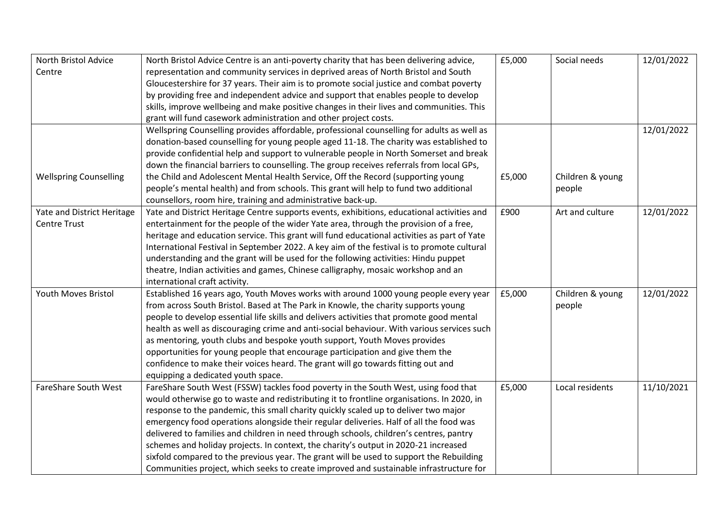| North Bristol Advice          | North Bristol Advice Centre is an anti-poverty charity that has been delivering advice,     | £5,000 | Social needs     | 12/01/2022 |
|-------------------------------|---------------------------------------------------------------------------------------------|--------|------------------|------------|
| Centre                        | representation and community services in deprived areas of North Bristol and South          |        |                  |            |
|                               | Gloucestershire for 37 years. Their aim is to promote social justice and combat poverty     |        |                  |            |
|                               | by providing free and independent advice and support that enables people to develop         |        |                  |            |
|                               | skills, improve wellbeing and make positive changes in their lives and communities. This    |        |                  |            |
|                               | grant will fund casework administration and other project costs.                            |        |                  |            |
|                               | Wellspring Counselling provides affordable, professional counselling for adults as well as  |        |                  | 12/01/2022 |
|                               | donation-based counselling for young people aged 11-18. The charity was established to      |        |                  |            |
|                               | provide confidential help and support to vulnerable people in North Somerset and break      |        |                  |            |
|                               | down the financial barriers to counselling. The group receives referrals from local GPs,    |        |                  |            |
| <b>Wellspring Counselling</b> | the Child and Adolescent Mental Health Service, Off the Record (supporting young            | £5,000 | Children & young |            |
|                               | people's mental health) and from schools. This grant will help to fund two additional       |        | people           |            |
|                               | counsellors, room hire, training and administrative back-up.                                |        |                  |            |
| Yate and District Heritage    | Yate and District Heritage Centre supports events, exhibitions, educational activities and  | £900   | Art and culture  | 12/01/2022 |
| <b>Centre Trust</b>           | entertainment for the people of the wider Yate area, through the provision of a free,       |        |                  |            |
|                               | heritage and education service. This grant will fund educational activities as part of Yate |        |                  |            |
|                               | International Festival in September 2022. A key aim of the festival is to promote cultural  |        |                  |            |
|                               | understanding and the grant will be used for the following activities: Hindu puppet         |        |                  |            |
|                               | theatre, Indian activities and games, Chinese calligraphy, mosaic workshop and an           |        |                  |            |
|                               | international craft activity.                                                               |        |                  |            |
| <b>Youth Moves Bristol</b>    | Established 16 years ago, Youth Moves works with around 1000 young people every year        | £5,000 | Children & young | 12/01/2022 |
|                               | from across South Bristol. Based at The Park in Knowle, the charity supports young          |        | people           |            |
|                               | people to develop essential life skills and delivers activities that promote good mental    |        |                  |            |
|                               | health as well as discouraging crime and anti-social behaviour. With various services such  |        |                  |            |
|                               | as mentoring, youth clubs and bespoke youth support, Youth Moves provides                   |        |                  |            |
|                               | opportunities for young people that encourage participation and give them the               |        |                  |            |
|                               | confidence to make their voices heard. The grant will go towards fitting out and            |        |                  |            |
|                               | equipping a dedicated youth space.                                                          |        |                  |            |
| <b>FareShare South West</b>   | FareShare South West (FSSW) tackles food poverty in the South West, using food that         | £5,000 | Local residents  | 11/10/2021 |
|                               | would otherwise go to waste and redistributing it to frontline organisations. In 2020, in   |        |                  |            |
|                               | response to the pandemic, this small charity quickly scaled up to deliver two major         |        |                  |            |
|                               | emergency food operations alongside their regular deliveries. Half of all the food was      |        |                  |            |
|                               | delivered to families and children in need through schools, children's centres, pantry      |        |                  |            |
|                               | schemes and holiday projects. In context, the charity's output in 2020-21 increased         |        |                  |            |
|                               | sixfold compared to the previous year. The grant will be used to support the Rebuilding     |        |                  |            |
|                               | Communities project, which seeks to create improved and sustainable infrastructure for      |        |                  |            |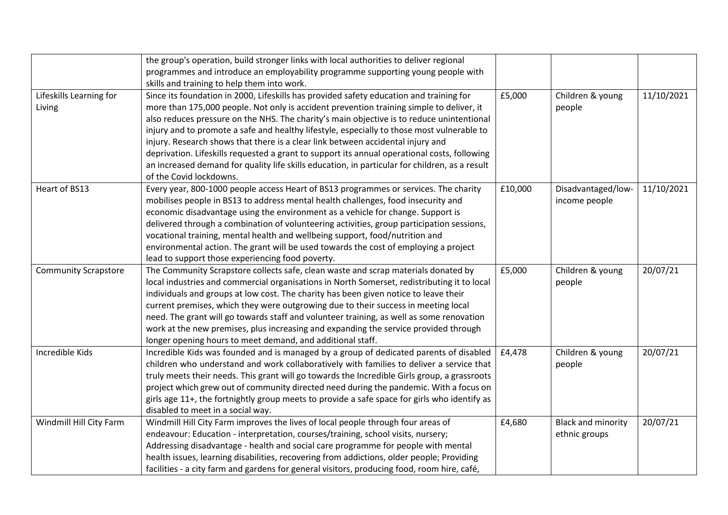|                             | the group's operation, build stronger links with local authorities to deliver regional         |         |                           |            |
|-----------------------------|------------------------------------------------------------------------------------------------|---------|---------------------------|------------|
|                             | programmes and introduce an employability programme supporting young people with               |         |                           |            |
|                             | skills and training to help them into work.                                                    |         |                           |            |
| Lifeskills Learning for     | Since its foundation in 2000, Lifeskills has provided safety education and training for        | £5,000  | Children & young          | 11/10/2021 |
| Living                      | more than 175,000 people. Not only is accident prevention training simple to deliver, it       |         | people                    |            |
|                             | also reduces pressure on the NHS. The charity's main objective is to reduce unintentional      |         |                           |            |
|                             | injury and to promote a safe and healthy lifestyle, especially to those most vulnerable to     |         |                           |            |
|                             | injury. Research shows that there is a clear link between accidental injury and                |         |                           |            |
|                             | deprivation. Lifeskills requested a grant to support its annual operational costs, following   |         |                           |            |
|                             | an increased demand for quality life skills education, in particular for children, as a result |         |                           |            |
|                             | of the Covid lockdowns.                                                                        |         |                           |            |
| Heart of BS13               | Every year, 800-1000 people access Heart of BS13 programmes or services. The charity           | £10,000 | Disadvantaged/low-        | 11/10/2021 |
|                             | mobilises people in BS13 to address mental health challenges, food insecurity and              |         | income people             |            |
|                             | economic disadvantage using the environment as a vehicle for change. Support is                |         |                           |            |
|                             | delivered through a combination of volunteering activities, group participation sessions,      |         |                           |            |
|                             | vocational training, mental health and wellbeing support, food/nutrition and                   |         |                           |            |
|                             | environmental action. The grant will be used towards the cost of employing a project           |         |                           |            |
|                             | lead to support those experiencing food poverty.                                               |         |                           |            |
| <b>Community Scrapstore</b> | The Community Scrapstore collects safe, clean waste and scrap materials donated by             | £5,000  | Children & young          | 20/07/21   |
|                             | local industries and commercial organisations in North Somerset, redistributing it to local    |         | people                    |            |
|                             | individuals and groups at low cost. The charity has been given notice to leave their           |         |                           |            |
|                             | current premises, which they were outgrowing due to their success in meeting local             |         |                           |            |
|                             | need. The grant will go towards staff and volunteer training, as well as some renovation       |         |                           |            |
|                             | work at the new premises, plus increasing and expanding the service provided through           |         |                           |            |
|                             | longer opening hours to meet demand, and additional staff.                                     |         |                           |            |
| Incredible Kids             | Incredible Kids was founded and is managed by a group of dedicated parents of disabled         | £4,478  | Children & young          | 20/07/21   |
|                             | children who understand and work collaboratively with families to deliver a service that       |         | people                    |            |
|                             | truly meets their needs. This grant will go towards the Incredible Girls group, a grassroots   |         |                           |            |
|                             | project which grew out of community directed need during the pandemic. With a focus on         |         |                           |            |
|                             | girls age 11+, the fortnightly group meets to provide a safe space for girls who identify as   |         |                           |            |
|                             | disabled to meet in a social way.                                                              |         |                           |            |
| Windmill Hill City Farm     | Windmill Hill City Farm improves the lives of local people through four areas of               | £4,680  | <b>Black and minority</b> | 20/07/21   |
|                             | endeavour: Education - interpretation, courses/training, school visits, nursery;               |         | ethnic groups             |            |
|                             | Addressing disadvantage - health and social care programme for people with mental              |         |                           |            |
|                             | health issues, learning disabilities, recovering from addictions, older people; Providing      |         |                           |            |
|                             | facilities - a city farm and gardens for general visitors, producing food, room hire, café,    |         |                           |            |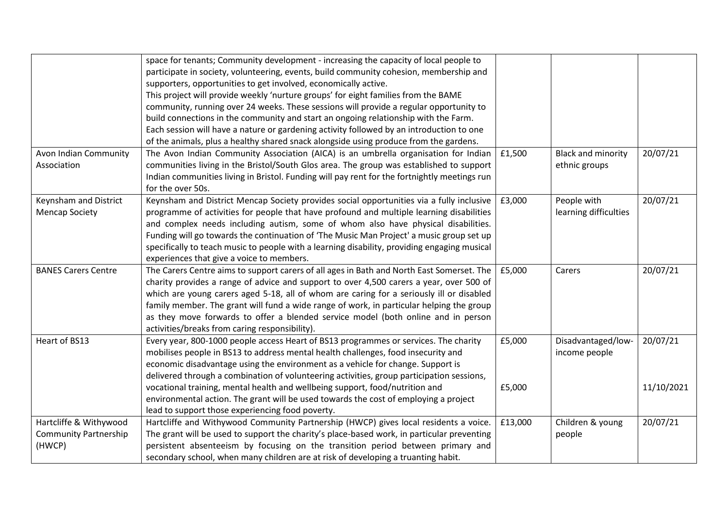|                              | space for tenants; Community development - increasing the capacity of local people to        |         |                           |            |
|------------------------------|----------------------------------------------------------------------------------------------|---------|---------------------------|------------|
|                              | participate in society, volunteering, events, build community cohesion, membership and       |         |                           |            |
|                              | supporters, opportunities to get involved, economically active.                              |         |                           |            |
|                              | This project will provide weekly 'nurture groups' for eight families from the BAME           |         |                           |            |
|                              | community, running over 24 weeks. These sessions will provide a regular opportunity to       |         |                           |            |
|                              | build connections in the community and start an ongoing relationship with the Farm.          |         |                           |            |
|                              | Each session will have a nature or gardening activity followed by an introduction to one     |         |                           |            |
|                              | of the animals, plus a healthy shared snack alongside using produce from the gardens.        |         |                           |            |
| Avon Indian Community        | The Avon Indian Community Association (AICA) is an umbrella organisation for Indian          | £1,500  | <b>Black and minority</b> | 20/07/21   |
| Association                  | communities living in the Bristol/South Glos area. The group was established to support      |         | ethnic groups             |            |
|                              | Indian communities living in Bristol. Funding will pay rent for the fortnightly meetings run |         |                           |            |
|                              | for the over 50s.                                                                            |         |                           |            |
| Keynsham and District        | Keynsham and District Mencap Society provides social opportunities via a fully inclusive     | £3,000  | People with               | 20/07/21   |
| <b>Mencap Society</b>        | programme of activities for people that have profound and multiple learning disabilities     |         | learning difficulties     |            |
|                              | and complex needs including autism, some of whom also have physical disabilities.            |         |                           |            |
|                              | Funding will go towards the continuation of 'The Music Man Project' a music group set up     |         |                           |            |
|                              | specifically to teach music to people with a learning disability, providing engaging musical |         |                           |            |
|                              | experiences that give a voice to members.                                                    |         |                           |            |
| <b>BANES Carers Centre</b>   | The Carers Centre aims to support carers of all ages in Bath and North East Somerset. The    | £5,000  | Carers                    | 20/07/21   |
|                              | charity provides a range of advice and support to over 4,500 carers a year, over 500 of      |         |                           |            |
|                              | which are young carers aged 5-18, all of whom are caring for a seriously ill or disabled     |         |                           |            |
|                              | family member. The grant will fund a wide range of work, in particular helping the group     |         |                           |            |
|                              | as they move forwards to offer a blended service model (both online and in person            |         |                           |            |
|                              | activities/breaks from caring responsibility).                                               |         |                           |            |
| Heart of BS13                | Every year, 800-1000 people access Heart of BS13 programmes or services. The charity         | £5,000  | Disadvantaged/low-        | 20/07/21   |
|                              | mobilises people in BS13 to address mental health challenges, food insecurity and            |         | income people             |            |
|                              | economic disadvantage using the environment as a vehicle for change. Support is              |         |                           |            |
|                              | delivered through a combination of volunteering activities, group participation sessions,    |         |                           |            |
|                              | vocational training, mental health and wellbeing support, food/nutrition and                 | £5,000  |                           | 11/10/2021 |
|                              | environmental action. The grant will be used towards the cost of employing a project         |         |                           |            |
|                              | lead to support those experiencing food poverty.                                             |         |                           |            |
| Hartcliffe & Withywood       | Hartcliffe and Withywood Community Partnership (HWCP) gives local residents a voice.         | £13,000 | Children & young          | 20/07/21   |
| <b>Community Partnership</b> | The grant will be used to support the charity's place-based work, in particular preventing   |         | people                    |            |
| (HWCP)                       | persistent absenteeism by focusing on the transition period between primary and              |         |                           |            |
|                              | secondary school, when many children are at risk of developing a truanting habit.            |         |                           |            |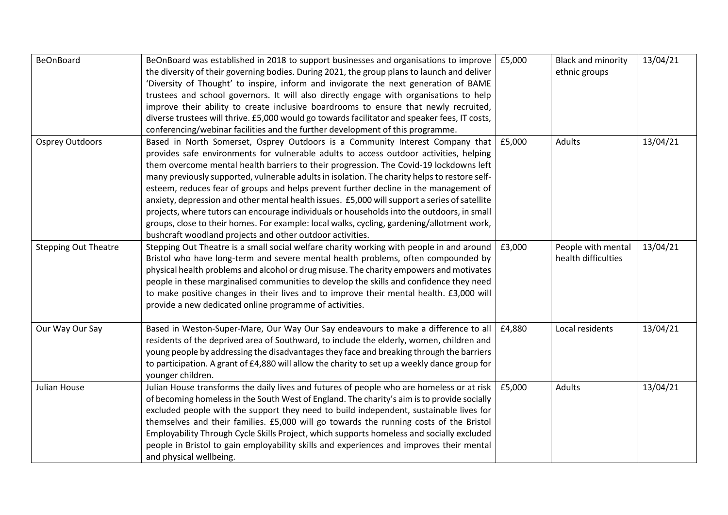| <b>BeOnBoard</b>            | BeOnBoard was established in 2018 to support businesses and organisations to improve          | £5,000 | <b>Black and minority</b> | 13/04/21 |
|-----------------------------|-----------------------------------------------------------------------------------------------|--------|---------------------------|----------|
|                             | the diversity of their governing bodies. During 2021, the group plans to launch and deliver   |        | ethnic groups             |          |
|                             | 'Diversity of Thought' to inspire, inform and invigorate the next generation of BAME          |        |                           |          |
|                             | trustees and school governors. It will also directly engage with organisations to help        |        |                           |          |
|                             | improve their ability to create inclusive boardrooms to ensure that newly recruited,          |        |                           |          |
|                             | diverse trustees will thrive. £5,000 would go towards facilitator and speaker fees, IT costs, |        |                           |          |
|                             | conferencing/webinar facilities and the further development of this programme.                |        |                           |          |
| Osprey Outdoors             | Based in North Somerset, Osprey Outdoors is a Community Interest Company that                 | £5,000 | Adults                    | 13/04/21 |
|                             | provides safe environments for vulnerable adults to access outdoor activities, helping        |        |                           |          |
|                             | them overcome mental health barriers to their progression. The Covid-19 lockdowns left        |        |                           |          |
|                             | many previously supported, vulnerable adults in isolation. The charity helps to restore self- |        |                           |          |
|                             | esteem, reduces fear of groups and helps prevent further decline in the management of         |        |                           |          |
|                             | anxiety, depression and other mental health issues. £5,000 will support a series of satellite |        |                           |          |
|                             | projects, where tutors can encourage individuals or households into the outdoors, in small    |        |                           |          |
|                             | groups, close to their homes. For example: local walks, cycling, gardening/allotment work,    |        |                           |          |
|                             | bushcraft woodland projects and other outdoor activities.                                     |        |                           |          |
| <b>Stepping Out Theatre</b> | Stepping Out Theatre is a small social welfare charity working with people in and around      | £3,000 | People with mental        | 13/04/21 |
|                             | Bristol who have long-term and severe mental health problems, often compounded by             |        | health difficulties       |          |
|                             | physical health problems and alcohol or drug misuse. The charity empowers and motivates       |        |                           |          |
|                             | people in these marginalised communities to develop the skills and confidence they need       |        |                           |          |
|                             | to make positive changes in their lives and to improve their mental health. £3,000 will       |        |                           |          |
|                             | provide a new dedicated online programme of activities.                                       |        |                           |          |
|                             |                                                                                               |        |                           |          |
| Our Way Our Say             | Based in Weston-Super-Mare, Our Way Our Say endeavours to make a difference to all            | £4,880 | Local residents           | 13/04/21 |
|                             | residents of the deprived area of Southward, to include the elderly, women, children and      |        |                           |          |
|                             | young people by addressing the disadvantages they face and breaking through the barriers      |        |                           |          |
|                             | to participation. A grant of £4,880 will allow the charity to set up a weekly dance group for |        |                           |          |
|                             | younger children.                                                                             |        |                           |          |
| Julian House                | Julian House transforms the daily lives and futures of people who are homeless or at risk     | £5,000 | Adults                    | 13/04/21 |
|                             | of becoming homeless in the South West of England. The charity's aim is to provide socially   |        |                           |          |
|                             | excluded people with the support they need to build independent, sustainable lives for        |        |                           |          |
|                             | themselves and their families. £5,000 will go towards the running costs of the Bristol        |        |                           |          |
|                             | Employability Through Cycle Skills Project, which supports homeless and socially excluded     |        |                           |          |
|                             | people in Bristol to gain employability skills and experiences and improves their mental      |        |                           |          |
|                             | and physical wellbeing.                                                                       |        |                           |          |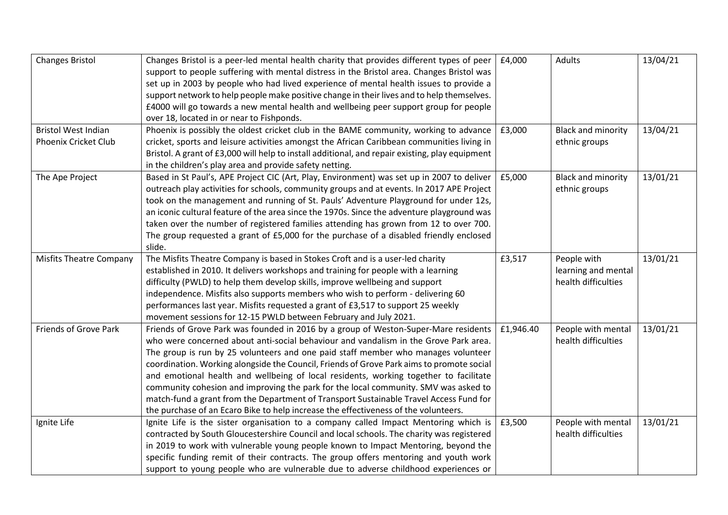| <b>Changes Bristol</b>         | Changes Bristol is a peer-led mental health charity that provides different types of peer       | £4,000    | <b>Adults</b>             | 13/04/21 |
|--------------------------------|-------------------------------------------------------------------------------------------------|-----------|---------------------------|----------|
|                                | support to people suffering with mental distress in the Bristol area. Changes Bristol was       |           |                           |          |
|                                | set up in 2003 by people who had lived experience of mental health issues to provide a          |           |                           |          |
|                                | support network to help people make positive change in their lives and to help themselves.      |           |                           |          |
|                                | £4000 will go towards a new mental health and wellbeing peer support group for people           |           |                           |          |
|                                | over 18, located in or near to Fishponds.                                                       |           |                           |          |
| <b>Bristol West Indian</b>     | Phoenix is possibly the oldest cricket club in the BAME community, working to advance           | £3,000    | <b>Black and minority</b> | 13/04/21 |
| Phoenix Cricket Club           | cricket, sports and leisure activities amongst the African Caribbean communities living in      |           | ethnic groups             |          |
|                                | Bristol. A grant of £3,000 will help to install additional, and repair existing, play equipment |           |                           |          |
|                                | in the children's play area and provide safety netting.                                         |           |                           |          |
| The Ape Project                | Based in St Paul's, APE Project CIC (Art, Play, Environment) was set up in 2007 to deliver      | £5,000    | <b>Black and minority</b> | 13/01/21 |
|                                | outreach play activities for schools, community groups and at events. In 2017 APE Project       |           | ethnic groups             |          |
|                                | took on the management and running of St. Pauls' Adventure Playground for under 12s,            |           |                           |          |
|                                | an iconic cultural feature of the area since the 1970s. Since the adventure playground was      |           |                           |          |
|                                | taken over the number of registered families attending has grown from 12 to over 700.           |           |                           |          |
|                                | The group requested a grant of £5,000 for the purchase of a disabled friendly enclosed          |           |                           |          |
|                                | slide.                                                                                          |           |                           |          |
| <b>Misfits Theatre Company</b> | The Misfits Theatre Company is based in Stokes Croft and is a user-led charity                  | £3,517    | People with               | 13/01/21 |
|                                | established in 2010. It delivers workshops and training for people with a learning              |           | learning and mental       |          |
|                                | difficulty (PWLD) to help them develop skills, improve wellbeing and support                    |           | health difficulties       |          |
|                                | independence. Misfits also supports members who wish to perform - delivering 60                 |           |                           |          |
|                                | performances last year. Misfits requested a grant of £3,517 to support 25 weekly                |           |                           |          |
|                                | movement sessions for 12-15 PWLD between February and July 2021.                                |           |                           |          |
| Friends of Grove Park          | Friends of Grove Park was founded in 2016 by a group of Weston-Super-Mare residents             | £1,946.40 | People with mental        | 13/01/21 |
|                                | who were concerned about anti-social behaviour and vandalism in the Grove Park area.            |           | health difficulties       |          |
|                                | The group is run by 25 volunteers and one paid staff member who manages volunteer               |           |                           |          |
|                                | coordination. Working alongside the Council, Friends of Grove Park aims to promote social       |           |                           |          |
|                                | and emotional health and wellbeing of local residents, working together to facilitate           |           |                           |          |
|                                | community cohesion and improving the park for the local community. SMV was asked to             |           |                           |          |
|                                | match-fund a grant from the Department of Transport Sustainable Travel Access Fund for          |           |                           |          |
|                                | the purchase of an Ecaro Bike to help increase the effectiveness of the volunteers.             |           |                           |          |
| Ignite Life                    | Ignite Life is the sister organisation to a company called Impact Mentoring which is            | £3,500    | People with mental        | 13/01/21 |
|                                | contracted by South Gloucestershire Council and local schools. The charity was registered       |           | health difficulties       |          |
|                                | in 2019 to work with vulnerable young people known to Impact Mentoring, beyond the              |           |                           |          |
|                                | specific funding remit of their contracts. The group offers mentoring and youth work            |           |                           |          |
|                                | support to young people who are vulnerable due to adverse childhood experiences or              |           |                           |          |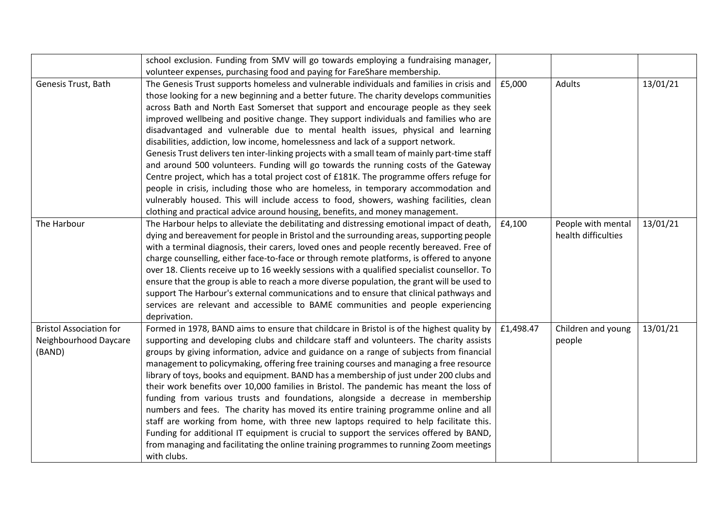|                                | school exclusion. Funding from SMV will go towards employing a fundraising manager,           |           |                     |          |
|--------------------------------|-----------------------------------------------------------------------------------------------|-----------|---------------------|----------|
|                                | volunteer expenses, purchasing food and paying for FareShare membership.                      |           |                     |          |
| Genesis Trust, Bath            | The Genesis Trust supports homeless and vulnerable individuals and families in crisis and     | £5,000    | <b>Adults</b>       | 13/01/21 |
|                                | those looking for a new beginning and a better future. The charity develops communities       |           |                     |          |
|                                | across Bath and North East Somerset that support and encourage people as they seek            |           |                     |          |
|                                | improved wellbeing and positive change. They support individuals and families who are         |           |                     |          |
|                                | disadvantaged and vulnerable due to mental health issues, physical and learning               |           |                     |          |
|                                | disabilities, addiction, low income, homelessness and lack of a support network.              |           |                     |          |
|                                | Genesis Trust delivers ten inter-linking projects with a small team of mainly part-time staff |           |                     |          |
|                                | and around 500 volunteers. Funding will go towards the running costs of the Gateway           |           |                     |          |
|                                | Centre project, which has a total project cost of £181K. The programme offers refuge for      |           |                     |          |
|                                | people in crisis, including those who are homeless, in temporary accommodation and            |           |                     |          |
|                                | vulnerably housed. This will include access to food, showers, washing facilities, clean       |           |                     |          |
|                                | clothing and practical advice around housing, benefits, and money management.                 |           |                     |          |
| The Harbour                    | The Harbour helps to alleviate the debilitating and distressing emotional impact of death,    | £4,100    | People with mental  | 13/01/21 |
|                                | dying and bereavement for people in Bristol and the surrounding areas, supporting people      |           | health difficulties |          |
|                                | with a terminal diagnosis, their carers, loved ones and people recently bereaved. Free of     |           |                     |          |
|                                | charge counselling, either face-to-face or through remote platforms, is offered to anyone     |           |                     |          |
|                                | over 18. Clients receive up to 16 weekly sessions with a qualified specialist counsellor. To  |           |                     |          |
|                                | ensure that the group is able to reach a more diverse population, the grant will be used to   |           |                     |          |
|                                | support The Harbour's external communications and to ensure that clinical pathways and        |           |                     |          |
|                                | services are relevant and accessible to BAME communities and people experiencing              |           |                     |          |
|                                | deprivation.                                                                                  |           |                     |          |
| <b>Bristol Association for</b> | Formed in 1978, BAND aims to ensure that childcare in Bristol is of the highest quality by    | £1,498.47 | Children and young  | 13/01/21 |
| Neighbourhood Daycare          | supporting and developing clubs and childcare staff and volunteers. The charity assists       |           | people              |          |
| (BAND)                         | groups by giving information, advice and guidance on a range of subjects from financial       |           |                     |          |
|                                | management to policymaking, offering free training courses and managing a free resource       |           |                     |          |
|                                | library of toys, books and equipment. BAND has a membership of just under 200 clubs and       |           |                     |          |
|                                | their work benefits over 10,000 families in Bristol. The pandemic has meant the loss of       |           |                     |          |
|                                | funding from various trusts and foundations, alongside a decrease in membership               |           |                     |          |
|                                | numbers and fees. The charity has moved its entire training programme online and all          |           |                     |          |
|                                | staff are working from home, with three new laptops required to help facilitate this.         |           |                     |          |
|                                | Funding for additional IT equipment is crucial to support the services offered by BAND,       |           |                     |          |
|                                | from managing and facilitating the online training programmes to running Zoom meetings        |           |                     |          |
|                                | with clubs.                                                                                   |           |                     |          |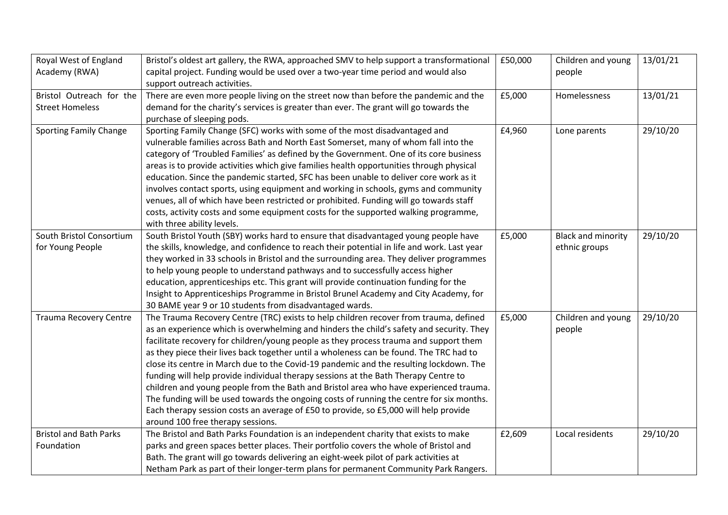| Royal West of England         | Bristol's oldest art gallery, the RWA, approached SMV to help support a transformational   | £50,000 | Children and young        | 13/01/21 |
|-------------------------------|--------------------------------------------------------------------------------------------|---------|---------------------------|----------|
| Academy (RWA)                 | capital project. Funding would be used over a two-year time period and would also          |         | people                    |          |
|                               | support outreach activities.                                                               |         |                           |          |
| Bristol Outreach for the      | There are even more people living on the street now than before the pandemic and the       | £5,000  | Homelessness              | 13/01/21 |
| <b>Street Homeless</b>        | demand for the charity's services is greater than ever. The grant will go towards the      |         |                           |          |
|                               | purchase of sleeping pods.                                                                 |         |                           |          |
| <b>Sporting Family Change</b> | Sporting Family Change (SFC) works with some of the most disadvantaged and                 | £4,960  | Lone parents              | 29/10/20 |
|                               | vulnerable families across Bath and North East Somerset, many of whom fall into the        |         |                           |          |
|                               | category of 'Troubled Families' as defined by the Government. One of its core business     |         |                           |          |
|                               | areas is to provide activities which give families health opportunities through physical   |         |                           |          |
|                               | education. Since the pandemic started, SFC has been unable to deliver core work as it      |         |                           |          |
|                               | involves contact sports, using equipment and working in schools, gyms and community        |         |                           |          |
|                               | venues, all of which have been restricted or prohibited. Funding will go towards staff     |         |                           |          |
|                               | costs, activity costs and some equipment costs for the supported walking programme,        |         |                           |          |
|                               | with three ability levels.                                                                 |         |                           |          |
| South Bristol Consortium      | South Bristol Youth (SBY) works hard to ensure that disadvantaged young people have        | £5,000  | <b>Black and minority</b> | 29/10/20 |
| for Young People              | the skills, knowledge, and confidence to reach their potential in life and work. Last year |         | ethnic groups             |          |
|                               | they worked in 33 schools in Bristol and the surrounding area. They deliver programmes     |         |                           |          |
|                               | to help young people to understand pathways and to successfully access higher              |         |                           |          |
|                               | education, apprenticeships etc. This grant will provide continuation funding for the       |         |                           |          |
|                               | Insight to Apprenticeships Programme in Bristol Brunel Academy and City Academy, for       |         |                           |          |
|                               | 30 BAME year 9 or 10 students from disadvantaged wards.                                    |         |                           |          |
| <b>Trauma Recovery Centre</b> | The Trauma Recovery Centre (TRC) exists to help children recover from trauma, defined      | £5,000  | Children and young        | 29/10/20 |
|                               | as an experience which is overwhelming and hinders the child's safety and security. They   |         | people                    |          |
|                               | facilitate recovery for children/young people as they process trauma and support them      |         |                           |          |
|                               | as they piece their lives back together until a wholeness can be found. The TRC had to     |         |                           |          |
|                               | close its centre in March due to the Covid-19 pandemic and the resulting lockdown. The     |         |                           |          |
|                               | funding will help provide individual therapy sessions at the Bath Therapy Centre to        |         |                           |          |
|                               | children and young people from the Bath and Bristol area who have experienced trauma.      |         |                           |          |
|                               | The funding will be used towards the ongoing costs of running the centre for six months.   |         |                           |          |
|                               | Each therapy session costs an average of £50 to provide, so £5,000 will help provide       |         |                           |          |
|                               | around 100 free therapy sessions.                                                          |         |                           |          |
| <b>Bristol and Bath Parks</b> | The Bristol and Bath Parks Foundation is an independent charity that exists to make        | £2,609  | Local residents           | 29/10/20 |
| Foundation                    | parks and green spaces better places. Their portfolio covers the whole of Bristol and      |         |                           |          |
|                               | Bath. The grant will go towards delivering an eight-week pilot of park activities at       |         |                           |          |
|                               | Netham Park as part of their longer-term plans for permanent Community Park Rangers.       |         |                           |          |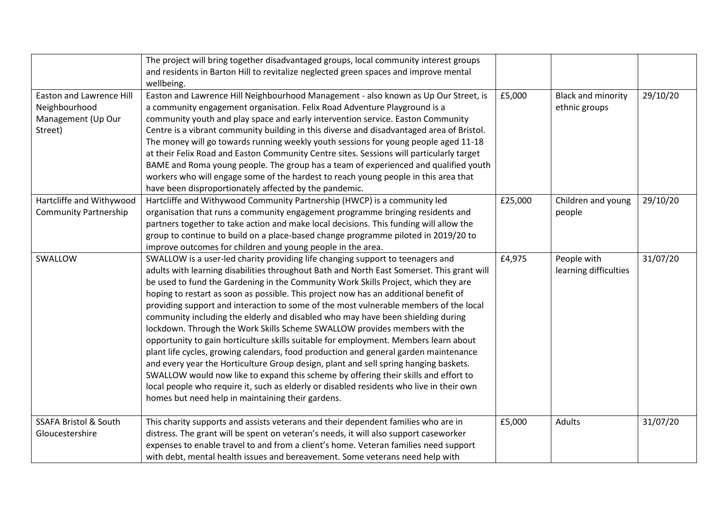|                                  | The project will bring together disadvantaged groups, local community interest groups      |         |                           |          |
|----------------------------------|--------------------------------------------------------------------------------------------|---------|---------------------------|----------|
|                                  | and residents in Barton Hill to revitalize neglected green spaces and improve mental       |         |                           |          |
|                                  | wellbeing.                                                                                 |         |                           |          |
| <b>Easton and Lawrence Hill</b>  | Easton and Lawrence Hill Neighbourhood Management - also known as Up Our Street, is        | £5,000  | <b>Black and minority</b> | 29/10/20 |
| Neighbourhood                    | a community engagement organisation. Felix Road Adventure Playground is a                  |         | ethnic groups             |          |
| Management (Up Our               | community youth and play space and early intervention service. Easton Community            |         |                           |          |
| Street)                          | Centre is a vibrant community building in this diverse and disadvantaged area of Bristol.  |         |                           |          |
|                                  | The money will go towards running weekly youth sessions for young people aged 11-18        |         |                           |          |
|                                  | at their Felix Road and Easton Community Centre sites. Sessions will particularly target   |         |                           |          |
|                                  | BAME and Roma young people. The group has a team of experienced and qualified youth        |         |                           |          |
|                                  | workers who will engage some of the hardest to reach young people in this area that        |         |                           |          |
|                                  | have been disproportionately affected by the pandemic.                                     |         |                           |          |
| Hartcliffe and Withywood         | Hartcliffe and Withywood Community Partnership (HWCP) is a community led                   | £25,000 | Children and young        | 29/10/20 |
| <b>Community Partnership</b>     | organisation that runs a community engagement programme bringing residents and             |         | people                    |          |
|                                  | partners together to take action and make local decisions. This funding will allow the     |         |                           |          |
|                                  | group to continue to build on a place-based change programme piloted in 2019/20 to         |         |                           |          |
|                                  | improve outcomes for children and young people in the area.                                |         |                           |          |
| SWALLOW                          | SWALLOW is a user-led charity providing life changing support to teenagers and             | £4,975  | People with               | 31/07/20 |
|                                  | adults with learning disabilities throughout Bath and North East Somerset. This grant will |         | learning difficulties     |          |
|                                  | be used to fund the Gardening in the Community Work Skills Project, which they are         |         |                           |          |
|                                  | hoping to restart as soon as possible. This project now has an additional benefit of       |         |                           |          |
|                                  | providing support and interaction to some of the most vulnerable members of the local      |         |                           |          |
|                                  | community including the elderly and disabled who may have been shielding during            |         |                           |          |
|                                  | lockdown. Through the Work Skills Scheme SWALLOW provides members with the                 |         |                           |          |
|                                  | opportunity to gain horticulture skills suitable for employment. Members learn about       |         |                           |          |
|                                  | plant life cycles, growing calendars, food production and general garden maintenance       |         |                           |          |
|                                  | and every year the Horticulture Group design, plant and sell spring hanging baskets.       |         |                           |          |
|                                  | SWALLOW would now like to expand this scheme by offering their skills and effort to        |         |                           |          |
|                                  | local people who require it, such as elderly or disabled residents who live in their own   |         |                           |          |
|                                  | homes but need help in maintaining their gardens.                                          |         |                           |          |
|                                  |                                                                                            |         |                           |          |
| <b>SSAFA Bristol &amp; South</b> | This charity supports and assists veterans and their dependent families who are in         | £5,000  | Adults                    | 31/07/20 |
| Gloucestershire                  | distress. The grant will be spent on veteran's needs, it will also support caseworker      |         |                           |          |
|                                  | expenses to enable travel to and from a client's home. Veteran families need support       |         |                           |          |
|                                  | with debt, mental health issues and bereavement. Some veterans need help with              |         |                           |          |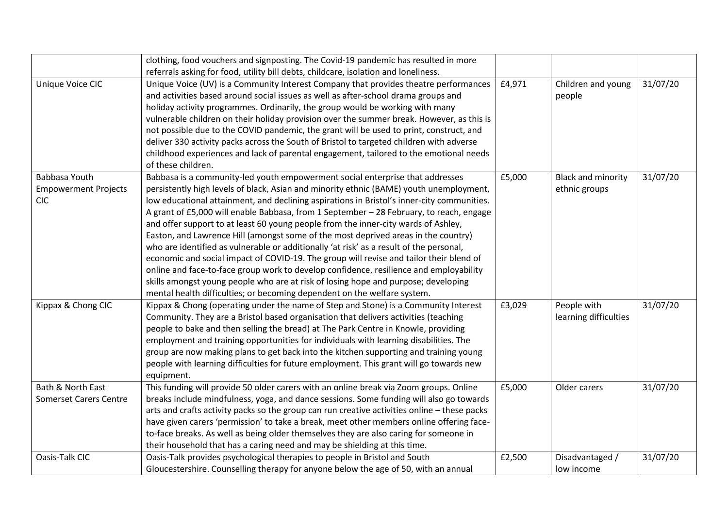|                               | clothing, food vouchers and signposting. The Covid-19 pandemic has resulted in more          |        |                           |          |
|-------------------------------|----------------------------------------------------------------------------------------------|--------|---------------------------|----------|
|                               | referrals asking for food, utility bill debts, childcare, isolation and loneliness.          |        |                           |          |
| Unique Voice CIC              | Unique Voice (UV) is a Community Interest Company that provides theatre performances         | £4,971 | Children and young        | 31/07/20 |
|                               | and activities based around social issues as well as after-school drama groups and           |        | people                    |          |
|                               | holiday activity programmes. Ordinarily, the group would be working with many                |        |                           |          |
|                               | vulnerable children on their holiday provision over the summer break. However, as this is    |        |                           |          |
|                               | not possible due to the COVID pandemic, the grant will be used to print, construct, and      |        |                           |          |
|                               | deliver 330 activity packs across the South of Bristol to targeted children with adverse     |        |                           |          |
|                               | childhood experiences and lack of parental engagement, tailored to the emotional needs       |        |                           |          |
|                               | of these children.                                                                           |        |                           |          |
| Babbasa Youth                 | Babbasa is a community-led youth empowerment social enterprise that addresses                | £5,000 | <b>Black and minority</b> | 31/07/20 |
| <b>Empowerment Projects</b>   | persistently high levels of black, Asian and minority ethnic (BAME) youth unemployment,      |        | ethnic groups             |          |
| <b>CIC</b>                    | low educational attainment, and declining aspirations in Bristol's inner-city communities.   |        |                           |          |
|                               | A grant of £5,000 will enable Babbasa, from 1 September - 28 February, to reach, engage      |        |                           |          |
|                               | and offer support to at least 60 young people from the inner-city wards of Ashley,           |        |                           |          |
|                               | Easton, and Lawrence Hill (amongst some of the most deprived areas in the country)           |        |                           |          |
|                               | who are identified as vulnerable or additionally 'at risk' as a result of the personal,      |        |                           |          |
|                               | economic and social impact of COVID-19. The group will revise and tailor their blend of      |        |                           |          |
|                               | online and face-to-face group work to develop confidence, resilience and employability       |        |                           |          |
|                               | skills amongst young people who are at risk of losing hope and purpose; developing           |        |                           |          |
|                               | mental health difficulties; or becoming dependent on the welfare system.                     |        |                           |          |
| Kippax & Chong CIC            | Kippax & Chong (operating under the name of Step and Stone) is a Community Interest          | £3,029 | People with               | 31/07/20 |
|                               | Community. They are a Bristol based organisation that delivers activities (teaching          |        | learning difficulties     |          |
|                               | people to bake and then selling the bread) at The Park Centre in Knowle, providing           |        |                           |          |
|                               | employment and training opportunities for individuals with learning disabilities. The        |        |                           |          |
|                               | group are now making plans to get back into the kitchen supporting and training young        |        |                           |          |
|                               | people with learning difficulties for future employment. This grant will go towards new      |        |                           |          |
|                               | equipment.                                                                                   |        |                           |          |
| Bath & North East             | This funding will provide 50 older carers with an online break via Zoom groups. Online       | £5,000 | Older carers              | 31/07/20 |
| <b>Somerset Carers Centre</b> | breaks include mindfulness, yoga, and dance sessions. Some funding will also go towards      |        |                           |          |
|                               | arts and crafts activity packs so the group can run creative activities online - these packs |        |                           |          |
|                               | have given carers 'permission' to take a break, meet other members online offering face-     |        |                           |          |
|                               | to-face breaks. As well as being older themselves they are also caring for someone in        |        |                           |          |
|                               | their household that has a caring need and may be shielding at this time.                    |        |                           |          |
| Oasis-Talk CIC                | Oasis-Talk provides psychological therapies to people in Bristol and South                   | £2,500 | Disadvantaged /           | 31/07/20 |
|                               | Gloucestershire. Counselling therapy for anyone below the age of 50, with an annual          |        | low income                |          |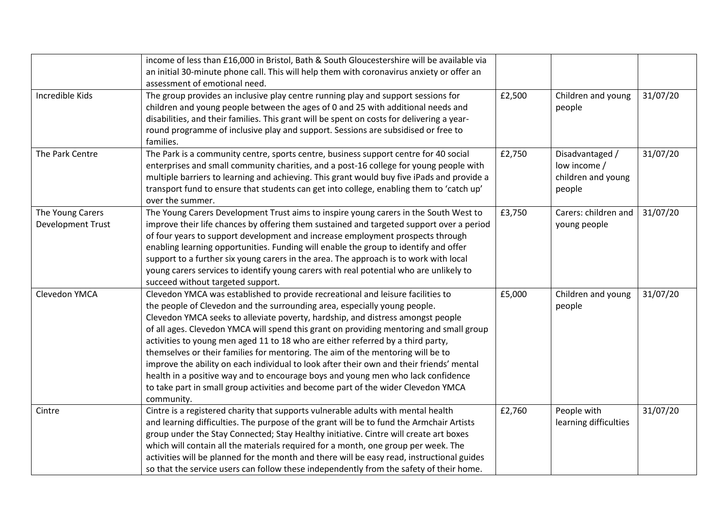|                   | income of less than £16,000 in Bristol, Bath & South Gloucestershire will be available via |        |                       |          |
|-------------------|--------------------------------------------------------------------------------------------|--------|-----------------------|----------|
|                   | an initial 30-minute phone call. This will help them with coronavirus anxiety or offer an  |        |                       |          |
|                   | assessment of emotional need.                                                              |        |                       |          |
| Incredible Kids   | The group provides an inclusive play centre running play and support sessions for          | £2,500 | Children and young    | 31/07/20 |
|                   | children and young people between the ages of 0 and 25 with additional needs and           |        | people                |          |
|                   | disabilities, and their families. This grant will be spent on costs for delivering a year- |        |                       |          |
|                   | round programme of inclusive play and support. Sessions are subsidised or free to          |        |                       |          |
|                   | families.                                                                                  |        |                       |          |
| The Park Centre   | The Park is a community centre, sports centre, business support centre for 40 social       | £2,750 | Disadvantaged /       | 31/07/20 |
|                   | enterprises and small community charities, and a post-16 college for young people with     |        | low income /          |          |
|                   | multiple barriers to learning and achieving. This grant would buy five iPads and provide a |        | children and young    |          |
|                   | transport fund to ensure that students can get into college, enabling them to 'catch up'   |        | people                |          |
|                   | over the summer.                                                                           |        |                       |          |
| The Young Carers  | The Young Carers Development Trust aims to inspire young carers in the South West to       | £3,750 | Carers: children and  | 31/07/20 |
| Development Trust | improve their life chances by offering them sustained and targeted support over a period   |        | young people          |          |
|                   | of four years to support development and increase employment prospects through             |        |                       |          |
|                   | enabling learning opportunities. Funding will enable the group to identify and offer       |        |                       |          |
|                   | support to a further six young carers in the area. The approach is to work with local      |        |                       |          |
|                   | young carers services to identify young carers with real potential who are unlikely to     |        |                       |          |
|                   | succeed without targeted support.                                                          |        |                       |          |
| Clevedon YMCA     | Clevedon YMCA was established to provide recreational and leisure facilities to            | £5,000 | Children and young    | 31/07/20 |
|                   | the people of Clevedon and the surrounding area, especially young people.                  |        | people                |          |
|                   | Clevedon YMCA seeks to alleviate poverty, hardship, and distress amongst people            |        |                       |          |
|                   | of all ages. Clevedon YMCA will spend this grant on providing mentoring and small group    |        |                       |          |
|                   | activities to young men aged 11 to 18 who are either referred by a third party,            |        |                       |          |
|                   | themselves or their families for mentoring. The aim of the mentoring will be to            |        |                       |          |
|                   | improve the ability on each individual to look after their own and their friends' mental   |        |                       |          |
|                   | health in a positive way and to encourage boys and young men who lack confidence           |        |                       |          |
|                   | to take part in small group activities and become part of the wider Clevedon YMCA          |        |                       |          |
|                   | community.                                                                                 |        |                       |          |
| Cintre            | Cintre is a registered charity that supports vulnerable adults with mental health          | £2,760 | People with           | 31/07/20 |
|                   | and learning difficulties. The purpose of the grant will be to fund the Armchair Artists   |        | learning difficulties |          |
|                   | group under the Stay Connected; Stay Healthy initiative. Cintre will create art boxes      |        |                       |          |
|                   | which will contain all the materials required for a month, one group per week. The         |        |                       |          |
|                   | activities will be planned for the month and there will be easy read, instructional guides |        |                       |          |
|                   | so that the service users can follow these independently from the safety of their home.    |        |                       |          |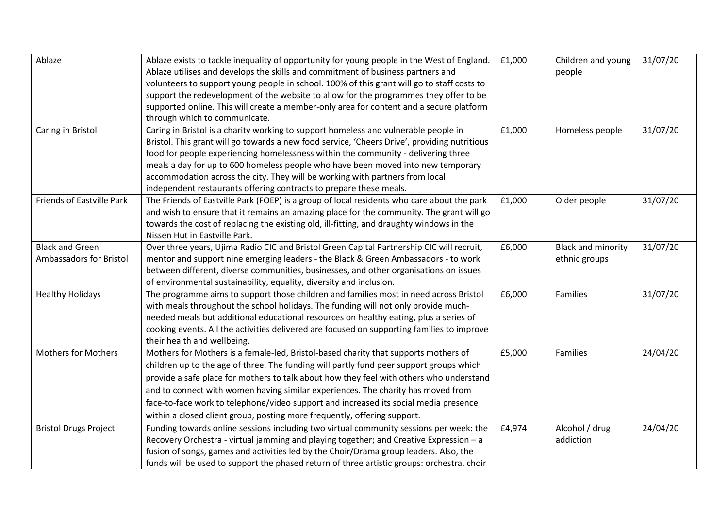| Ablaze                       | Ablaze exists to tackle inequality of opportunity for young people in the West of England.   | £1,000 | Children and young        | 31/07/20 |
|------------------------------|----------------------------------------------------------------------------------------------|--------|---------------------------|----------|
|                              | Ablaze utilises and develops the skills and commitment of business partners and              |        | people                    |          |
|                              | volunteers to support young people in school. 100% of this grant will go to staff costs to   |        |                           |          |
|                              | support the redevelopment of the website to allow for the programmes they offer to be        |        |                           |          |
|                              | supported online. This will create a member-only area for content and a secure platform      |        |                           |          |
|                              | through which to communicate.                                                                |        |                           |          |
| Caring in Bristol            | Caring in Bristol is a charity working to support homeless and vulnerable people in          | £1,000 | Homeless people           | 31/07/20 |
|                              | Bristol. This grant will go towards a new food service, 'Cheers Drive', providing nutritious |        |                           |          |
|                              | food for people experiencing homelessness within the community - delivering three            |        |                           |          |
|                              | meals a day for up to 600 homeless people who have been moved into new temporary             |        |                           |          |
|                              | accommodation across the city. They will be working with partners from local                 |        |                           |          |
|                              | independent restaurants offering contracts to prepare these meals.                           |        |                           |          |
| Friends of Eastville Park    | The Friends of Eastville Park (FOEP) is a group of local residents who care about the park   | £1,000 | Older people              | 31/07/20 |
|                              | and wish to ensure that it remains an amazing place for the community. The grant will go     |        |                           |          |
|                              | towards the cost of replacing the existing old, ill-fitting, and draughty windows in the     |        |                           |          |
|                              | Nissen Hut in Eastville Park.                                                                |        |                           |          |
| <b>Black and Green</b>       | Over three years, Ujima Radio CIC and Bristol Green Capital Partnership CIC will recruit,    | £6,000 | <b>Black and minority</b> | 31/07/20 |
| Ambassadors for Bristol      | mentor and support nine emerging leaders - the Black & Green Ambassadors - to work           |        | ethnic groups             |          |
|                              | between different, diverse communities, businesses, and other organisations on issues        |        |                           |          |
|                              | of environmental sustainability, equality, diversity and inclusion.                          |        |                           |          |
| <b>Healthy Holidays</b>      | The programme aims to support those children and families most in need across Bristol        | £6,000 | Families                  | 31/07/20 |
|                              | with meals throughout the school holidays. The funding will not only provide much-           |        |                           |          |
|                              | needed meals but additional educational resources on healthy eating, plus a series of        |        |                           |          |
|                              | cooking events. All the activities delivered are focused on supporting families to improve   |        |                           |          |
|                              | their health and wellbeing.                                                                  |        |                           |          |
| <b>Mothers for Mothers</b>   | Mothers for Mothers is a female-led, Bristol-based charity that supports mothers of          | £5,000 | Families                  | 24/04/20 |
|                              | children up to the age of three. The funding will partly fund peer support groups which      |        |                           |          |
|                              | provide a safe place for mothers to talk about how they feel with others who understand      |        |                           |          |
|                              | and to connect with women having similar experiences. The charity has moved from             |        |                           |          |
|                              | face-to-face work to telephone/video support and increased its social media presence         |        |                           |          |
|                              | within a closed client group, posting more frequently, offering support.                     |        |                           |          |
| <b>Bristol Drugs Project</b> | Funding towards online sessions including two virtual community sessions per week: the       | £4,974 | Alcohol / drug            | 24/04/20 |
|                              | Recovery Orchestra - virtual jamming and playing together; and Creative Expression - a       |        | addiction                 |          |
|                              | fusion of songs, games and activities led by the Choir/Drama group leaders. Also, the        |        |                           |          |
|                              | funds will be used to support the phased return of three artistic groups: orchestra, choir   |        |                           |          |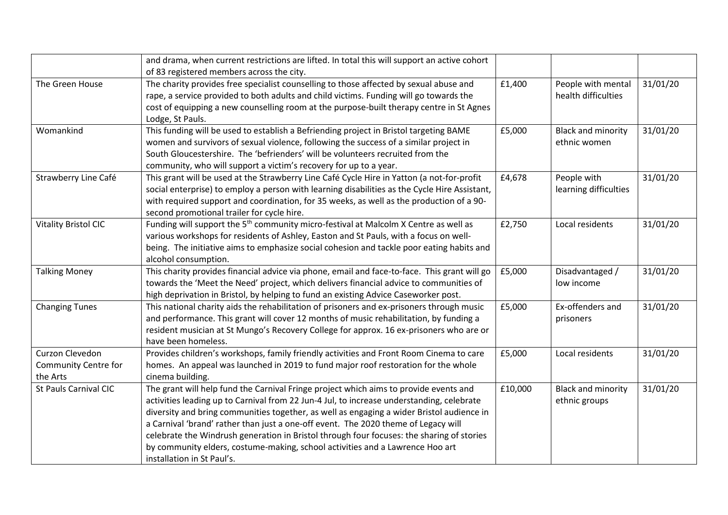|                             | and drama, when current restrictions are lifted. In total this will support an active cohort     |         |                           |          |
|-----------------------------|--------------------------------------------------------------------------------------------------|---------|---------------------------|----------|
|                             | of 83 registered members across the city.                                                        |         |                           |          |
| The Green House             | The charity provides free specialist counselling to those affected by sexual abuse and           | £1,400  | People with mental        | 31/01/20 |
|                             | rape, a service provided to both adults and child victims. Funding will go towards the           |         | health difficulties       |          |
|                             | cost of equipping a new counselling room at the purpose-built therapy centre in St Agnes         |         |                           |          |
|                             | Lodge, St Pauls.                                                                                 |         |                           |          |
| Womankind                   | This funding will be used to establish a Befriending project in Bristol targeting BAME           | £5,000  | <b>Black and minority</b> | 31/01/20 |
|                             | women and survivors of sexual violence, following the success of a similar project in            |         | ethnic women              |          |
|                             | South Gloucestershire. The 'befrienders' will be volunteers recruited from the                   |         |                           |          |
|                             | community, who will support a victim's recovery for up to a year.                                |         |                           |          |
| Strawberry Line Café        | This grant will be used at the Strawberry Line Café Cycle Hire in Yatton (a not-for-profit       | £4,678  | People with               | 31/01/20 |
|                             | social enterprise) to employ a person with learning disabilities as the Cycle Hire Assistant,    |         | learning difficulties     |          |
|                             | with required support and coordination, for 35 weeks, as well as the production of a 90-         |         |                           |          |
|                             | second promotional trailer for cycle hire.                                                       |         |                           |          |
| <b>Vitality Bristol CIC</b> | Funding will support the 5 <sup>th</sup> community micro-festival at Malcolm X Centre as well as | £2,750  | Local residents           | 31/01/20 |
|                             | various workshops for residents of Ashley, Easton and St Pauls, with a focus on well-            |         |                           |          |
|                             | being. The initiative aims to emphasize social cohesion and tackle poor eating habits and        |         |                           |          |
|                             | alcohol consumption.                                                                             |         |                           |          |
| <b>Talking Money</b>        | This charity provides financial advice via phone, email and face-to-face. This grant will go     | £5,000  | Disadvantaged /           | 31/01/20 |
|                             | towards the 'Meet the Need' project, which delivers financial advice to communities of           |         | low income                |          |
|                             | high deprivation in Bristol, by helping to fund an existing Advice Caseworker post.              |         |                           |          |
| <b>Changing Tunes</b>       | This national charity aids the rehabilitation of prisoners and ex-prisoners through music        | £5,000  | Ex-offenders and          | 31/01/20 |
|                             | and performance. This grant will cover 12 months of music rehabilitation, by funding a           |         | prisoners                 |          |
|                             | resident musician at St Mungo's Recovery College for approx. 16 ex-prisoners who are or          |         |                           |          |
|                             | have been homeless.                                                                              |         |                           |          |
| Curzon Clevedon             | Provides children's workshops, family friendly activities and Front Room Cinema to care          | £5,000  | Local residents           | 31/01/20 |
| Community Centre for        | homes. An appeal was launched in 2019 to fund major roof restoration for the whole               |         |                           |          |
| the Arts                    | cinema building.                                                                                 |         |                           |          |
| St Pauls Carnival CIC       | The grant will help fund the Carnival Fringe project which aims to provide events and            | £10,000 | <b>Black and minority</b> | 31/01/20 |
|                             | activities leading up to Carnival from 22 Jun-4 Jul, to increase understanding, celebrate        |         | ethnic groups             |          |
|                             | diversity and bring communities together, as well as engaging a wider Bristol audience in        |         |                           |          |
|                             | a Carnival 'brand' rather than just a one-off event. The 2020 theme of Legacy will               |         |                           |          |
|                             | celebrate the Windrush generation in Bristol through four focuses: the sharing of stories        |         |                           |          |
|                             | by community elders, costume-making, school activities and a Lawrence Hoo art                    |         |                           |          |
|                             | installation in St Paul's.                                                                       |         |                           |          |